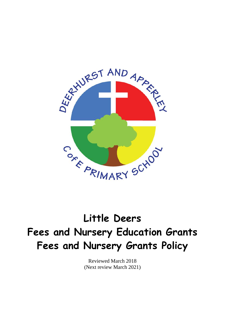

# **Little Deers Fees and Nursery Education Grants Fees and Nursery Grants Policy**

Reviewed March 2018 (Next review March 2021)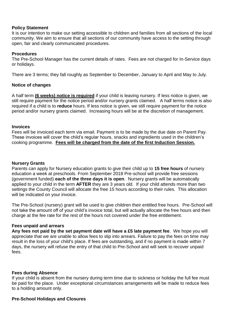# **Policy Statement**

It is our intention to make our setting accessible to children and families from all sections of the local community. We aim to ensure that all sections of our community have access to the setting through open, fair and clearly communicated procedures.

## **Procedures**

The Pre-School Manager has the current details of rates. Fees are not charged for In-Service days or holidays.

There are 3 terms; they fall roughly as September to December, January to April and May to July.

## **Notice of changes**

A half term **(6 weeks) notice is required** if your child is leaving nursery. If less notice is given, we still require payment for the notice period and/or nursery grants claimed. A half terms notice is also required if a child is to **reduce** hours. If less notice is given, we still require payment for the notice period and/or nursery grants claimed. Increasing hours will be at the discretion of management.

## **Invoices**

Fees will be invoiced each term via email. Payment is to be made by the due date on Parent Pay. These invoices will cover the child's regular hours, snacks and ingredients used in the children's cooking programme. **Fees will be charged from the date of the first Induction Session.** 

#### **Nursery Grants**

Parents can apply for Nursery education grants to give their child up to **15 free hours** of nursery education a week at preschools. From September 2018 Pre-school will provide free sessions (government funded) **each of the three days it is open**. Nursery grants will be automatically applied to your child in the term **AFTER** they are 3 years old. If your child attends more than two settings the County Council will allocate the free 15 hours according to their rules. This allocation will be indicated on your invoice.

The Pre-School (nursery) grant will be used to give children their entitled free hours. Pre-School will not take the amount off of your child's invoice total, but will actually allocate the free hours and then charge at the fee rate for the rest of the hours not covered under the free entitlement.

#### **Fees unpaid and arrears**

**Any fees not paid by the set payment date will have a £5 late payment fee**. We hope you will appreciate that we are unable to allow fees to slip into arrears. Failure to pay the fees on time may result in the loss of your child's place. If fees are outstanding, and if no payment is made within 7 days, the nursery will refuse the entry of that child to Pre-School and will seek to recover unpaid fees.

#### **Fees during Absence**

If your child is absent from the nursery during term time due to sickness or holiday the full fee must be paid for the place. Under exceptional circumstances arrangements will be made to reduce fees to a holding amount only.

# **Pre-School Holidays and Closures**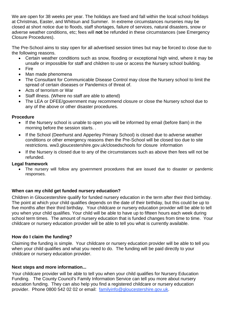We are open for 38 weeks per year. The holidays are fixed and fall within the local school holidays at Christmas, Easter, and Whitsun and Summer. In extreme circumstances nurseries may be closed at short notice due to floods, staff shortages, failure of services, natural disasters, snow or adverse weather conditions, etc; fees will **not** be refunded in these circumstances (see Emergency Closure Procedures).

The Pre-School aims to stay open for all advertised session times but may be forced to close due to the following reasons.

- Certain weather conditions such as snow, flooding or exceptional high wind, where it may be unsafe or impossible for staff and children to use or access the Nursery school building.
- Fire
- Man made phenomena
- The Consultant for Communicable Disease Control may close the Nursery school to limit the spread of certain diseases or Pandemics of threat of.
- Acts of terrorism or War
- Staff illness. (Where no staff are able to attend)
- The LEA or DFEE/government may recommend closure or close the Nursery school due to any of the above or other disaster procedures.

# **Procedure**

- If the Nursery school is unable to open you will be informed by email (before 8am) in the morning before the session starts. .
- If the School (Deerhurst and Apperley Primary School) is closed due to adverse weather conditions or other emergency reasons then the Pre-School will be closed too due to site restrictions. ww3.gloucestershire.gov.uk/closedschools for closure information
- If the Nursery is closed due to any of the circumstances such as above then fees will not be refunded.

# **Legal framework**

 The nursery will follow any government procedures that are issued due to disaster or pandemic responses.

# **When can my child get funded nursery education?**

Children in Gloucestershire qualify for funded nursery education in the term after their third birthday. The point at which your child qualifies depends on the date of their birthday, but this could be up to five months after their third birthday. Your childcare or nursery education provider will be able to tell you when your child qualifies. Your child will be able to have up to fifteen hours each week during school term times. The amount of nursery education that is funded changes from time to time. Your childcare or nursery education provider will be able to tell you what is currently available.

# **How do I claim the funding?**

Claiming the funding is simple. Your childcare or nursery education provider will be able to tell you when your child qualifies and what you need to do. The funding will be paid directly to your childcare or nursery education provider.

# **Next steps and more information...**

Your childcare provider will be able to tell you when your child qualifies for Nursery Education Funding. The County Council's Family Information Service can tell you more about nursery education funding. They can also help you find a registered childcare or nursery education provider. Phone 0800 542 02 02 or email: [familyinfo@gloucestershire.gov.uk.](mailto:familyinfo@gloucestershire.gov.uk)